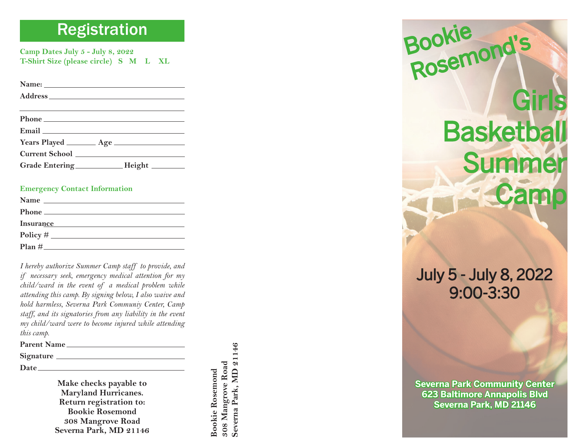# Registration

**Camp Dates July 5 - July 8, 2022 T-Shirt Size (please circle) S M L XL**

**Name: Address**

|  | . |  |
|--|---|--|
|  |   |  |
|  |   |  |
|  |   |  |
|  |   |  |
|  |   |  |

| Phone                 |  |  |
|-----------------------|--|--|
| Email                 |  |  |
| <b>Years Played</b>   |  |  |
| <b>Current School</b> |  |  |

| <b>Grade Entering</b> | Height |
|-----------------------|--------|
|                       |        |

#### **Emergency Contact Information**

| <b>Insurance</b> |  |
|------------------|--|
| $Policy \# \_$   |  |
| Plan#            |  |

*I hereby authorize Summer Camp staff to provide, and if necessary seek, emergency medical attention for my child/ward in the event of a medical problem while attending this camp. By signing below, I also waive and hold harmless, Severna Park Communiy Center, Camp staff, and its signatories from any liability in the event my child/ward were to become injured while attending this camp.*

**Parent Name**

**Signature**

**Date**

**Make checks payable to Maryland Hurricanes. Return registration to: Bookie Rosemond308 Mangrove Road Severna Park, MD 21146**

Severna Park, MD 21146 **Severna Park, MD 21146** 308 Mangrove Road **308 Mangrove Road Bookie Rosemond Bookie Rosemond**

**Girls Basketball** Summer **Camp** Bookie Rosemond' s Rosemond's

July 5 - July 8, 2022 9:00-3:30

**Severna Park Community Center 623 Baltimore Annapolis Blvd 23 Severna Park, MD 21146 everna**